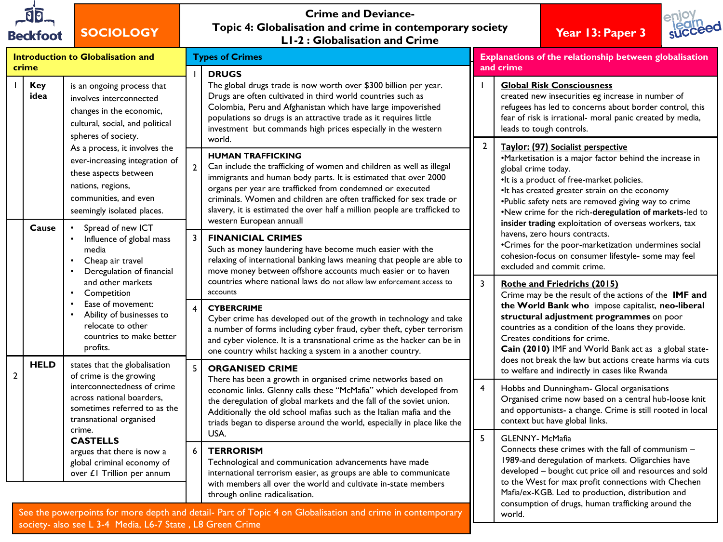

**SOCIOLOGY**

# **Crime and Deviance-Topic 4: Globalisation and crime in contemporary society L1-2 : Globalisation and Crime Year 13: Paper 3**



|                |                                                                                                                                                                                                                                                                                                                                                                                                                                                                                                                                                                                                                                                                                                                                                                                                                              |                                                                                                                                                                                                                                                                                                                                                                                                                                                                                                                                                                                                                                                                                                                                                                                                                                                                                                                                                                                                                                                                                                                                                                                                                                                                                                                                                                                                                                                                                                                                                                                                                                                                                                                                                                                                                                                                                                                                                                                                                                                                                               | Explanations of the relationship between globalisation                                                                                                                                                                                                                                                                                                                                       |
|----------------|------------------------------------------------------------------------------------------------------------------------------------------------------------------------------------------------------------------------------------------------------------------------------------------------------------------------------------------------------------------------------------------------------------------------------------------------------------------------------------------------------------------------------------------------------------------------------------------------------------------------------------------------------------------------------------------------------------------------------------------------------------------------------------------------------------------------------|-----------------------------------------------------------------------------------------------------------------------------------------------------------------------------------------------------------------------------------------------------------------------------------------------------------------------------------------------------------------------------------------------------------------------------------------------------------------------------------------------------------------------------------------------------------------------------------------------------------------------------------------------------------------------------------------------------------------------------------------------------------------------------------------------------------------------------------------------------------------------------------------------------------------------------------------------------------------------------------------------------------------------------------------------------------------------------------------------------------------------------------------------------------------------------------------------------------------------------------------------------------------------------------------------------------------------------------------------------------------------------------------------------------------------------------------------------------------------------------------------------------------------------------------------------------------------------------------------------------------------------------------------------------------------------------------------------------------------------------------------------------------------------------------------------------------------------------------------------------------------------------------------------------------------------------------------------------------------------------------------------------------------------------------------------------------------------------------------|----------------------------------------------------------------------------------------------------------------------------------------------------------------------------------------------------------------------------------------------------------------------------------------------------------------------------------------------------------------------------------------------|
| <b>DRUGS</b>   |                                                                                                                                                                                                                                                                                                                                                                                                                                                                                                                                                                                                                                                                                                                                                                                                                              |                                                                                                                                                                                                                                                                                                                                                                                                                                                                                                                                                                                                                                                                                                                                                                                                                                                                                                                                                                                                                                                                                                                                                                                                                                                                                                                                                                                                                                                                                                                                                                                                                                                                                                                                                                                                                                                                                                                                                                                                                                                                                               | <b>Global Risk Consciousness</b><br>created new insecurities eg increase in number of<br>refugees has led to concerns about border control, this<br>fear of risk is irrational- moral panic created by media,<br>leads to tough controls.                                                                                                                                                    |
| $\overline{2}$ |                                                                                                                                                                                                                                                                                                                                                                                                                                                                                                                                                                                                                                                                                                                                                                                                                              | $\overline{2}$                                                                                                                                                                                                                                                                                                                                                                                                                                                                                                                                                                                                                                                                                                                                                                                                                                                                                                                                                                                                                                                                                                                                                                                                                                                                                                                                                                                                                                                                                                                                                                                                                                                                                                                                                                                                                                                                                                                                                                                                                                                                                | Taylor: (97) Socialist perspective<br>•Marketisation is a major factor behind the increase in<br>global crime today.<br>•It is a product of free-market policies.<br>•It has created greater strain on the economy<br>.Public safety nets are removed giving way to crime<br>.New crime for the rich-deregulation of markets-led to<br>insider trading exploitation of overseas workers, tax |
| 3              |                                                                                                                                                                                                                                                                                                                                                                                                                                                                                                                                                                                                                                                                                                                                                                                                                              |                                                                                                                                                                                                                                                                                                                                                                                                                                                                                                                                                                                                                                                                                                                                                                                                                                                                                                                                                                                                                                                                                                                                                                                                                                                                                                                                                                                                                                                                                                                                                                                                                                                                                                                                                                                                                                                                                                                                                                                                                                                                                               | havens, zero hours contracts.<br>•Crimes for the poor-marketization undermines social<br>cohesion-focus on consumer lifestyle- some may feel<br>excluded and commit crime.                                                                                                                                                                                                                   |
| accounts       |                                                                                                                                                                                                                                                                                                                                                                                                                                                                                                                                                                                                                                                                                                                                                                                                                              | 3                                                                                                                                                                                                                                                                                                                                                                                                                                                                                                                                                                                                                                                                                                                                                                                                                                                                                                                                                                                                                                                                                                                                                                                                                                                                                                                                                                                                                                                                                                                                                                                                                                                                                                                                                                                                                                                                                                                                                                                                                                                                                             | <b>Rothe and Friedrichs (2015)</b><br>Crime may be the result of the actions of the IMF and<br>the World Bank who impose capitalist, neo-liberal<br>structural adjustment programmes on poor<br>countries as a condition of the loans they provide.<br>Creates conditions for crime.<br>Cain (2010) IMF and World Bank act as a global state-                                                |
| 5              |                                                                                                                                                                                                                                                                                                                                                                                                                                                                                                                                                                                                                                                                                                                                                                                                                              | $\overline{4}$                                                                                                                                                                                                                                                                                                                                                                                                                                                                                                                                                                                                                                                                                                                                                                                                                                                                                                                                                                                                                                                                                                                                                                                                                                                                                                                                                                                                                                                                                                                                                                                                                                                                                                                                                                                                                                                                                                                                                                                                                                                                                | does not break the law but actions create harms via cuts<br>to welfare and indirectly in cases like Rwanda<br>Hobbs and Dunningham- Glocal organisations<br>Organised crime now based on a central hub-loose knit<br>and opportunists- a change. Crime is still rooted in local<br>context but have global links.                                                                            |
| USA.<br>6      |                                                                                                                                                                                                                                                                                                                                                                                                                                                                                                                                                                                                                                                                                                                                                                                                                              | 5                                                                                                                                                                                                                                                                                                                                                                                                                                                                                                                                                                                                                                                                                                                                                                                                                                                                                                                                                                                                                                                                                                                                                                                                                                                                                                                                                                                                                                                                                                                                                                                                                                                                                                                                                                                                                                                                                                                                                                                                                                                                                             | <b>GLENNY-McMafia</b><br>Connects these crimes with the fall of communism -<br>1989-and deregulation of markets. Oligarchies have<br>developed - bought cut price oil and resources and sold<br>to the West for max profit connections with Chechen<br>Mafia/ex-KGB. Led to production, distribution and                                                                                     |
|                | Introduction to Globalisation and<br>is an ongoing process that<br>involves interconnected<br>changes in the economic,<br>cultural, social, and political<br>world.<br>As a process, it involves the<br>ever-increasing integration of<br>these aspects between<br>communities, and even<br>seemingly isolated places.<br>Spread of new ICT<br>Influence of global mass<br>Cheap air travel<br>Deregulation of financial<br>and other markets<br>Ease of movement:<br>Ability of businesses to<br>relocate to other<br>countries to make better<br>states that the globalisation<br>of crime is the growing<br>interconnectedness of crime<br>across national boarders.<br>sometimes referred to as the<br>transnational organised<br>argues that there is now a<br>global criminal economy of<br>over £1 Trillion per annum | L1-2 : Globalisation and Crime<br><b>Types of Crimes</b><br>The global drugs trade is now worth over \$300 billion per year.<br>Drugs are often cultivated in third world countries such as<br>Colombia, Peru and Afghanistan which have large impoverished<br>populations so drugs is an attractive trade as it requires little<br>investment but commands high prices especially in the western<br><b>HUMAN TRAFFICKING</b><br>Can include the trafficking of women and children as well as illegal<br>immigrants and human body parts. It is estimated that over 2000<br>organs per year are trafficked from condemned or executed<br>criminals. Women and children are often trafficked for sex trade or<br>slavery, it is estimated the over half a million people are trafficked to<br>western European annuall<br><b>FINANICIAL CRIMES</b><br>Such as money laundering have become much easier with the<br>relaxing of international banking laws meaning that people are able to<br>move money between offshore accounts much easier or to haven<br>countries where national laws do not allow law enforcement access to<br><b>CYBERCRIME</b><br>Cyber crime has developed out of the growth in technology and take<br>a number of forms including cyber fraud, cyber theft, cyber terrorism<br>and cyber violence. It is a transnational crime as the hacker can be in<br>one country whilst hacking a system in a another country.<br><b>ORGANISED CRIME</b><br>There has been a growth in organised crime networks based on<br>economic links. Glenny calls these "McMafia" which developed from<br>the deregulation of global markets and the fall of the soviet union.<br>Additionally the old school mafias such as the Italian mafia and the<br>triads began to disperse around the world, especially in place like the<br><b>TERRORISM</b><br>Technological and communication advancements have made<br>international terrorism easier, as groups are able to communicate<br>with members all over the world and cultivate in-state members<br>through online radicalisation. | and crime                                                                                                                                                                                                                                                                                                                                                                                    |

See the powerpoints for more depth and detail- Part of Topic 4 on Globalisation and crime in contemporary society- also see L 3-4 Media, L6-7 State , L8 Green Crime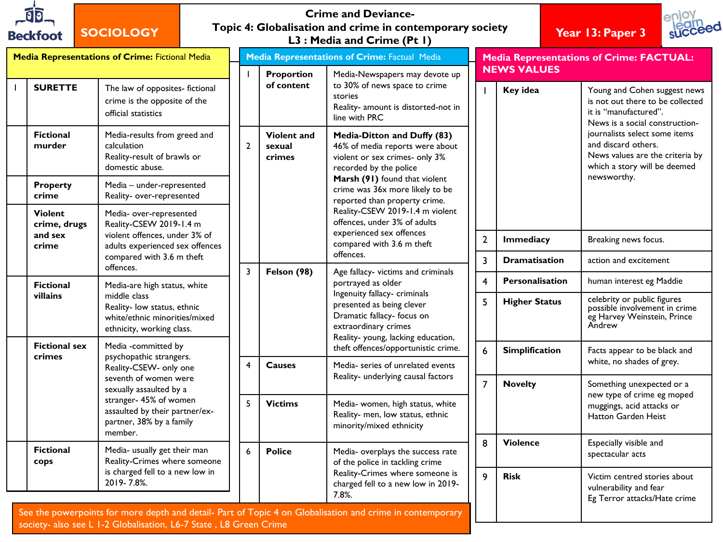| 00.             |
|-----------------|
| <b>Beckfoot</b> |

# **SOCIOLOGY**

#### **Crime and Deviance-Topic 4: Globalisation and crime in contemporary society L3 : Media and Crime (Pt 1) Year 13: Paper 3**





| <b>Media Representations of Crime: Fictional Media</b> |                                |                                                                                                                                                                                                                                 | <b>Media Representations of Crime: Factual Media</b> |                                                                                |                                        | <b>Media Representations of Crime: FACTUAL:</b><br><b>NEWS VALUES</b>                                                                                                                                                                                                                 |                |                |                                                                                        |                                                                                                                                                                                                                                                        |
|--------------------------------------------------------|--------------------------------|---------------------------------------------------------------------------------------------------------------------------------------------------------------------------------------------------------------------------------|------------------------------------------------------|--------------------------------------------------------------------------------|----------------------------------------|---------------------------------------------------------------------------------------------------------------------------------------------------------------------------------------------------------------------------------------------------------------------------------------|----------------|----------------|----------------------------------------------------------------------------------------|--------------------------------------------------------------------------------------------------------------------------------------------------------------------------------------------------------------------------------------------------------|
|                                                        | <b>SURETTE</b>                 | The law of opposites- fictional<br>crime is the opposite of the<br>official statistics                                                                                                                                          |                                                      |                                                                                | Proportion<br>of content               | Media-Newspapers may devote up<br>to 30% of news space to crime<br>stories<br>Reality- amount is distorted-not in<br>line with PRC                                                                                                                                                    |                |                | Key idea                                                                               | Young and Cohen suggest news<br>is not out there to be collected<br>it is "manufactured".<br>News is a social construction-<br>journalists select some items<br>and discard others.<br>News values are the criteria by<br>which a story will be deemed |
|                                                        | <b>Fictional</b><br>murder     | Media-results from greed and<br>calculation<br>Reality-result of brawls or<br>domestic abuse.                                                                                                                                   |                                                      | $\overline{2}$                                                                 | <b>Violent and</b><br>sexual<br>crimes | Media-Ditton and Duffy (83)<br>46% of media reports were about<br>violent or sex crimes- only 3%<br>recorded by the police                                                                                                                                                            |                |                |                                                                                        |                                                                                                                                                                                                                                                        |
|                                                        | <b>Property</b><br>crime       | Media - under-represented<br>Reality- over-represented                                                                                                                                                                          |                                                      |                                                                                |                                        | Marsh (91) found that violent<br>crime was 36x more likely to be<br>reported than property crime.                                                                                                                                                                                     |                |                |                                                                                        | newsworthy.                                                                                                                                                                                                                                            |
|                                                        | <b>Violent</b><br>crime, drugs | Media- over-represented<br>Reality-CSEW 2019-1.4 m                                                                                                                                                                              |                                                      |                                                                                |                                        | Reality-CSEW 2019-1.4 m violent<br>offences, under 3% of adults                                                                                                                                                                                                                       |                |                |                                                                                        |                                                                                                                                                                                                                                                        |
|                                                        | and sex<br>crime               | violent offences, under 3% of<br>adults experienced sex offences<br>compared with 3.6 m theft<br>offences.                                                                                                                      |                                                      |                                                                                | Felson (98)<br><b>Causes</b>           | experienced sex offences<br>compared with 3.6 m theft<br>offences.<br>Age fallacy-victims and criminals<br>portrayed as older<br>Ingenuity fallacy- criminals<br>presented as being clever<br>Dramatic fallacy- focus on<br>extraordinary crimes<br>Reality-young, lacking education, |                | $\overline{2}$ | Immediacy                                                                              | Breaking news focus.                                                                                                                                                                                                                                   |
|                                                        |                                |                                                                                                                                                                                                                                 |                                                      | 3                                                                              |                                        |                                                                                                                                                                                                                                                                                       |                | 3              | <b>Dramatisation</b>                                                                   | action and excitement                                                                                                                                                                                                                                  |
|                                                        | <b>Fictional</b>               | Media-are high status, white                                                                                                                                                                                                    |                                                      |                                                                                |                                        |                                                                                                                                                                                                                                                                                       |                | 4              | Personalisation                                                                        | human interest eg Maddie                                                                                                                                                                                                                               |
|                                                        | villains                       | middle class<br>Reality- low status, ethnic<br>white/ethnic minorities/mixed<br>ethnicity, working class.                                                                                                                       |                                                      |                                                                                |                                        |                                                                                                                                                                                                                                                                                       |                | 5              | <b>Higher Status</b>                                                                   | celebrity or public figures<br>possible involvement in crime<br>eg Harvey Weinstein, Prince<br>Andrew                                                                                                                                                  |
|                                                        | <b>Fictional sex</b><br>crimes | Media -committed by<br>psychopathic strangers.<br>Reality-CSEW- only one<br>seventh of women were<br>sexually assaulted by a<br>stranger- 45% of women<br>assaulted by their partner/ex-<br>partner, 38% by a family<br>member. |                                                      | $\overline{\mathbf{4}}$                                                        |                                        | theft offences/opportunistic crime.<br>Media- series of unrelated events                                                                                                                                                                                                              |                | 6              | <b>Simplification</b>                                                                  | Facts appear to be black and<br>white, no shades of grey.                                                                                                                                                                                              |
|                                                        |                                |                                                                                                                                                                                                                                 |                                                      |                                                                                | Reality- underlying causal factors     |                                                                                                                                                                                                                                                                                       | $\overline{7}$ | <b>Novelty</b> | Something unexpected or a                                                              |                                                                                                                                                                                                                                                        |
|                                                        |                                |                                                                                                                                                                                                                                 |                                                      | 5                                                                              | <b>Victims</b>                         | Media- women, high status, white<br>Reality- men, low status, ethnic<br>minority/mixed ethnicity                                                                                                                                                                                      |                |                |                                                                                        | new type of crime eg moped<br>muggings, acid attacks or<br>Hatton Garden Heist                                                                                                                                                                         |
|                                                        | <b>Fictional</b><br>cops       | Media- usually get their man<br>Reality-Crimes where someone                                                                                                                                                                    |                                                      | 6                                                                              | <b>Police</b>                          | Media- overplays the success rate<br>of the police in tackling crime                                                                                                                                                                                                                  |                | 8              | <b>Violence</b>                                                                        | Especially visible and<br>spectacular acts                                                                                                                                                                                                             |
|                                                        |                                | is charged fell to a new low in<br>2019-7.8%.                                                                                                                                                                                   |                                                      | Reality-Crimes where someone is<br>charged fell to a new low in 2019-<br>7.8%. |                                        |                                                                                                                                                                                                                                                                                       | 9              | <b>Risk</b>    | Victim centred stories about<br>vulnerability and fear<br>Eg Terror attacks/Hate crime |                                                                                                                                                                                                                                                        |

See the powerpoints for more depth and detail- Part of Topic 4 on Globalisation and crime in contemporary society- also see L 1-2 Globalisation, L6-7 State , L8 Green Crime